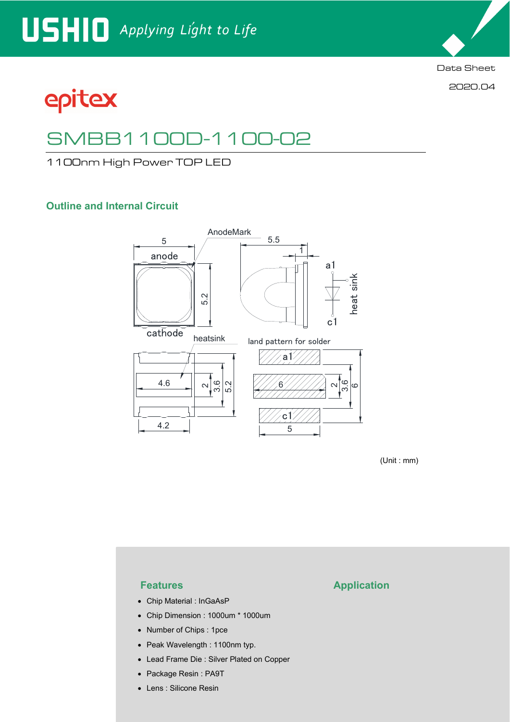

2020.04

# epitex

# SMBB1100D-1100-02

1100nm High Power TOP LED

### **Outline and Internal Circuit**



(Unit : mm)

- Chip Material : InGaAsP
- Chip Dimension : 1000um \* 1000um
- Number of Chips : 1pce
- Peak Wavelength : 1100nm typ.
- Lead Frame Die : Silver Plated on Copper
- Package Resin : PA9T
- Lens : Silicone Resin

### **Features Application**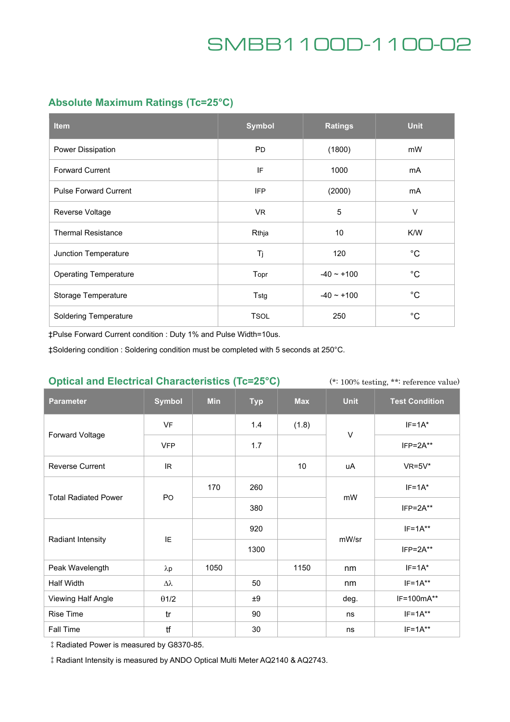### **Absolute Maximum Ratings (Tc=25°C)**

| <b>Item</b>                  | <b>Symbol</b> | <b>Ratings</b>  | <b>Unit</b>  |
|------------------------------|---------------|-----------------|--------------|
| Power Dissipation            | <b>PD</b>     | (1800)          | mW           |
| <b>Forward Current</b>       | IF            | 1000            | mA           |
| <b>Pulse Forward Current</b> | <b>IFP</b>    | (2000)          | mA           |
| Reverse Voltage              | VR.           | 5               | V            |
| <b>Thermal Resistance</b>    | Rthja         | 10              | K/W          |
| Junction Temperature         | Tj            | 120             | $^{\circ}C$  |
| <b>Operating Temperature</b> | Topr          | $-40 \sim +100$ | $^{\circ}$ C |
| Storage Temperature          | Tstg          | $-40 - +100$    | $^{\circ}$ C |
| <b>Soldering Temperature</b> | <b>TSOL</b>   | 250             | $^{\circ}C$  |

‡Pulse Forward Current condition : Duty 1% and Pulse Width=10us.

‡Soldering condition : Soldering condition must be completed with 5 seconds at 250°C.

### **Optical and Electrical Characteristics (Tc=25°C)**

(\*: 100% testing, \*\*: reference value)

| <b>Parameter</b>            | <b>Symbol</b>    | <b>Min</b> | <b>Typ</b> | <b>Max</b> | <b>Unit</b> | <b>Test Condition</b> |
|-----------------------------|------------------|------------|------------|------------|-------------|-----------------------|
| Forward Voltage             | <b>VF</b>        |            | 1.4        | (1.8)      | V           | $IF=1A*$              |
|                             | <b>VFP</b>       |            | 1.7        |            |             | $IFP = 2A**$          |
| <b>Reverse Current</b>      | IR               |            |            | $10$       | uA          | $VR=5V*$              |
| <b>Total Radiated Power</b> | PO               | 170        | 260        |            | mW          | $IF=1A*$              |
|                             |                  |            | 380        |            |             | $IFP = 2A**$          |
| Radiant Intensity           | IE               |            | 920        |            | mW/sr       | $IF=1A**$             |
|                             |                  |            | 1300       |            |             | $IFP = 2A**$          |
| Peak Wavelength             | $\lambda p$      | 1050       |            | 1150       | nm          | $IF=1A*$              |
| Half Width                  | $\Delta \lambda$ |            | 50         |            | nm          | $IF=1A**$             |
| Viewing Half Angle          | $\theta$ 1/2     |            | ±9         |            | deg.        | IF=100mA**            |
| <b>Rise Time</b>            | tr               |            | 90         |            | ns          | $IF=1A***$            |
| Fall Time                   | tf               |            | 30         |            | ns          | $IF=1A***$            |

‡Radiated Power is measured by G8370-85.

‡Radiant Intensity is measured by ANDO Optical Multi Meter AQ2140 & AQ2743.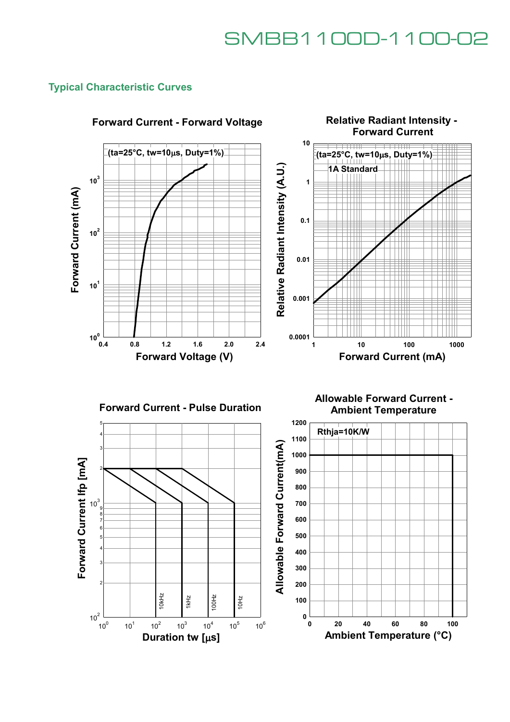**Relative Radiant Intensity -** 

### **Typical Characteristic Curves**



### **Forward Current - Forward Voltage**





**Allowable Forward Current - Ambient Temperature**

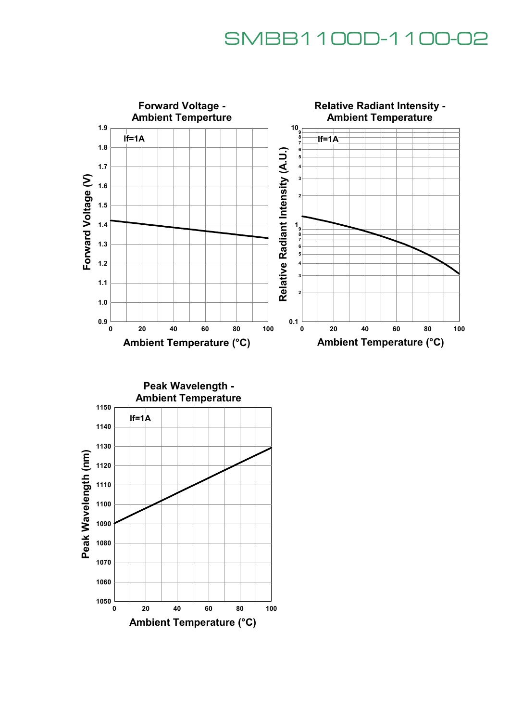

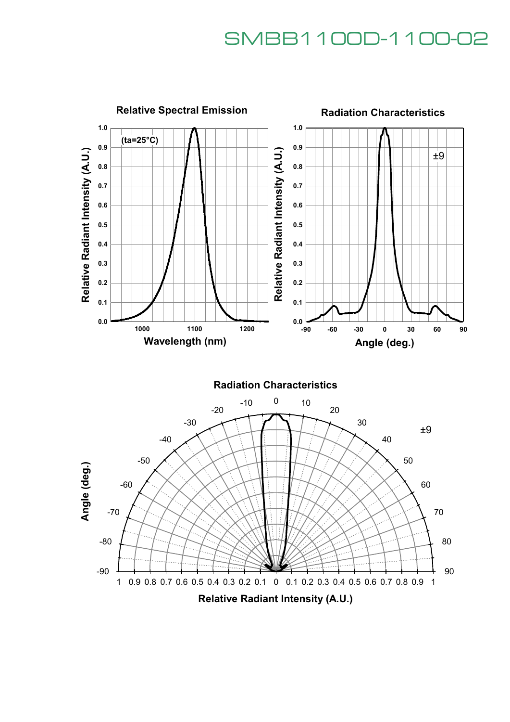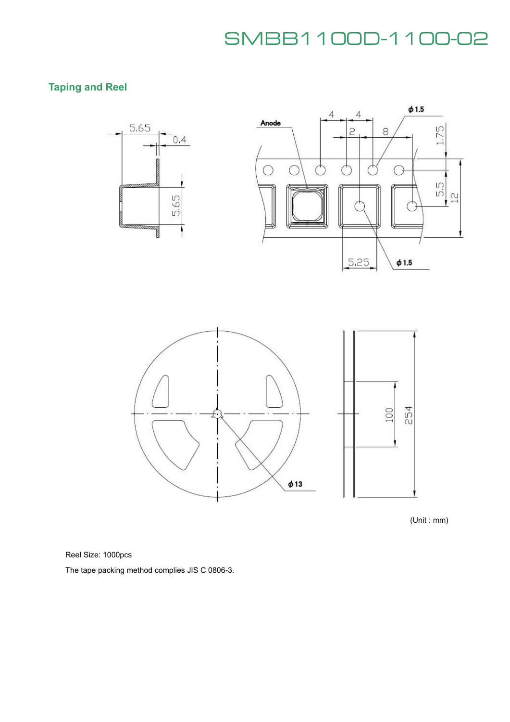### **Taping and Reel**



(Unit : mm)

Reel Size: 1000pcs

The tape packing method complies JIS C 0806-3.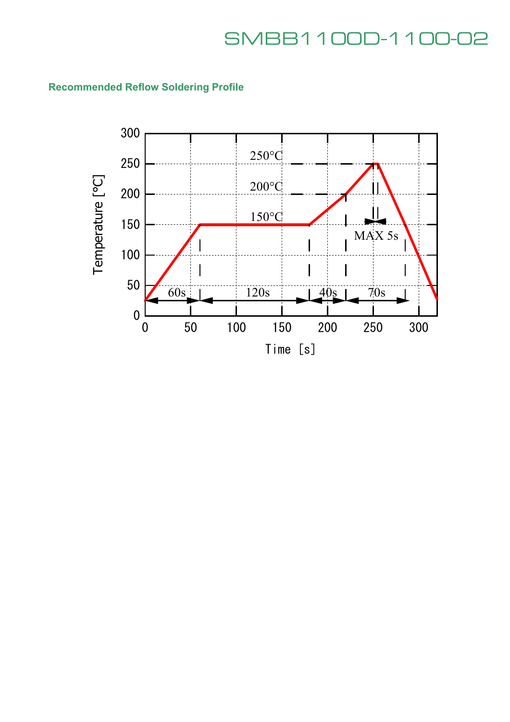## **Recommended Reflow Soldering Profile**

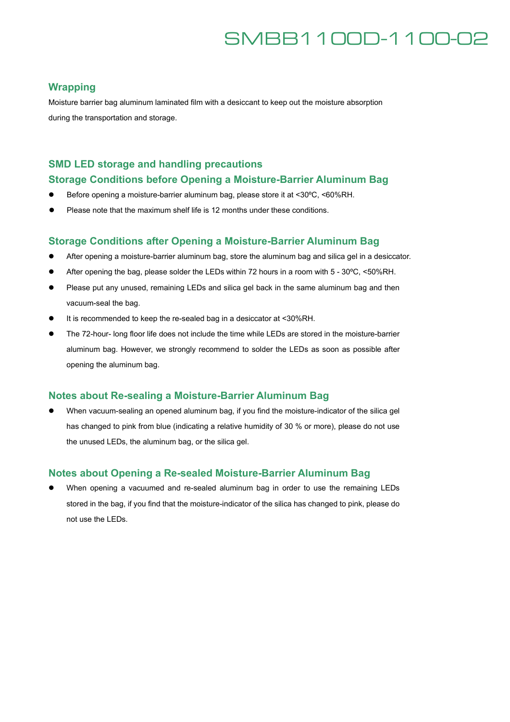### **Wrapping**

Moisture barrier bag aluminum laminated film with a desiccant to keep out the moisture absorption during the transportation and storage.

### **SMD LED storage and handling precautions**

#### **Storage Conditions before Opening a Moisture-Barrier Aluminum Bag**

- Before opening a moisture-barrier aluminum bag, please store it at <30°C, <60%RH.
- Please note that the maximum shelf life is 12 months under these conditions.

#### **Storage Conditions after Opening a Moisture-Barrier Aluminum Bag**

- After opening a moisture-barrier aluminum bag, store the aluminum bag and silica gel in a desiccator.
- After opening the bag, please solder the LEDs within 72 hours in a room with 5 30°C, <50%RH.
- Please put any unused, remaining LEDs and silica gel back in the same aluminum bag and then vacuum-seal the bag.
- It is recommended to keep the re-sealed bag in a desiccator at <30%RH.
- The 72-hour- long floor life does not include the time while LEDs are stored in the moisture-barrier aluminum bag. However, we strongly recommend to solder the LEDs as soon as possible after opening the aluminum bag.

### **Notes about Re-sealing a Moisture-Barrier Aluminum Bag**

 When vacuum-sealing an opened aluminum bag, if you find the moisture-indicator of the silica gel has changed to pink from blue (indicating a relative humidity of 30 % or more), please do not use the unused LEDs, the aluminum bag, or the silica gel.

### **Notes about Opening a Re-sealed Moisture-Barrier Aluminum Bag**

 When opening a vacuumed and re-sealed aluminum bag in order to use the remaining LEDs stored in the bag, if you find that the moisture-indicator of the silica has changed to pink, please do not use the LEDs.